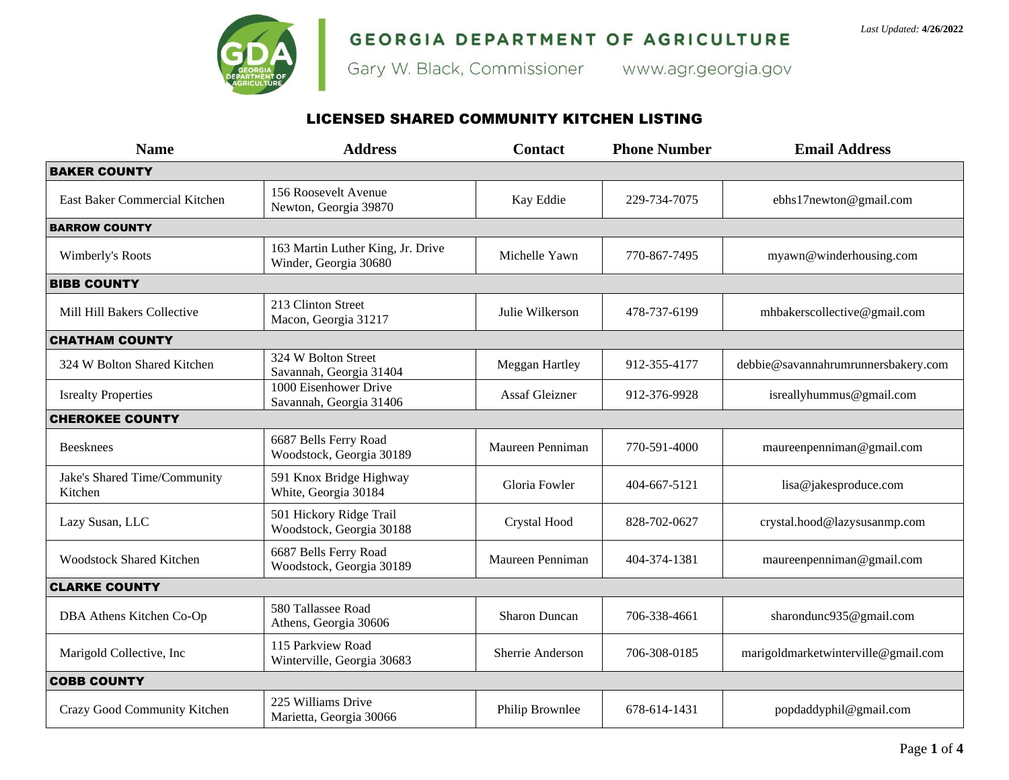

# **GEORGIA DEPARTMENT OF AGRICULTURE**<br>Gary W. Black, Commissioner www.agr.georgia.gov

## LICENSED SHARED COMMUNITY KITCHEN LISTING

| <b>Name</b>                             | <b>Address</b>                                             | <b>Contact</b>       | <b>Phone Number</b> | <b>Email Address</b>                |
|-----------------------------------------|------------------------------------------------------------|----------------------|---------------------|-------------------------------------|
| <b>BAKER COUNTY</b>                     |                                                            |                      |                     |                                     |
| East Baker Commercial Kitchen           | 156 Roosevelt Avenue<br>Newton, Georgia 39870              | Kay Eddie            | 229-734-7075        | ebhs17newton@gmail.com              |
| <b>BARROW COUNTY</b>                    |                                                            |                      |                     |                                     |
| Wimberly's Roots                        | 163 Martin Luther King, Jr. Drive<br>Winder, Georgia 30680 | Michelle Yawn        | 770-867-7495        | myawn@winderhousing.com             |
| <b>BIBB COUNTY</b>                      |                                                            |                      |                     |                                     |
| Mill Hill Bakers Collective             | 213 Clinton Street<br>Macon, Georgia 31217                 | Julie Wilkerson      | 478-737-6199        | mhbakerscollective@gmail.com        |
| <b>CHATHAM COUNTY</b>                   |                                                            |                      |                     |                                     |
| 324 W Bolton Shared Kitchen             | 324 W Bolton Street<br>Savannah, Georgia 31404             | Meggan Hartley       | 912-355-4177        | debbie@savannahrumrunnersbakery.com |
| <b>Isrealty Properties</b>              | 1000 Eisenhower Drive<br>Savannah, Georgia 31406           | Assaf Gleizner       | 912-376-9928        | isreallyhummus@gmail.com            |
| <b>CHEROKEE COUNTY</b>                  |                                                            |                      |                     |                                     |
| <b>Beesknees</b>                        | 6687 Bells Ferry Road<br>Woodstock, Georgia 30189          | Maureen Penniman     | 770-591-4000        | maureenpenniman@gmail.com           |
| Jake's Shared Time/Community<br>Kitchen | 591 Knox Bridge Highway<br>White, Georgia 30184            | Gloria Fowler        | 404-667-5121        | lisa@jakesproduce.com               |
| Lazy Susan, LLC                         | 501 Hickory Ridge Trail<br>Woodstock, Georgia 30188        | Crystal Hood         | 828-702-0627        | crystal.hood@lazysusanmp.com        |
| <b>Woodstock Shared Kitchen</b>         | 6687 Bells Ferry Road<br>Woodstock, Georgia 30189          | Maureen Penniman     | 404-374-1381        | maureenpenniman@gmail.com           |
| <b>CLARKE COUNTY</b>                    |                                                            |                      |                     |                                     |
| DBA Athens Kitchen Co-Op                | 580 Tallassee Road<br>Athens, Georgia 30606                | <b>Sharon Duncan</b> | 706-338-4661        | sharondunc935@gmail.com             |
| Marigold Collective, Inc                | 115 Parkview Road<br>Winterville, Georgia 30683            | Sherrie Anderson     | 706-308-0185        | marigoldmarketwinterville@gmail.com |
| <b>COBB COUNTY</b>                      |                                                            |                      |                     |                                     |
| Crazy Good Community Kitchen            | 225 Williams Drive<br>Marietta, Georgia 30066              | Philip Brownlee      | 678-614-1431        | popdaddyphil@gmail.com              |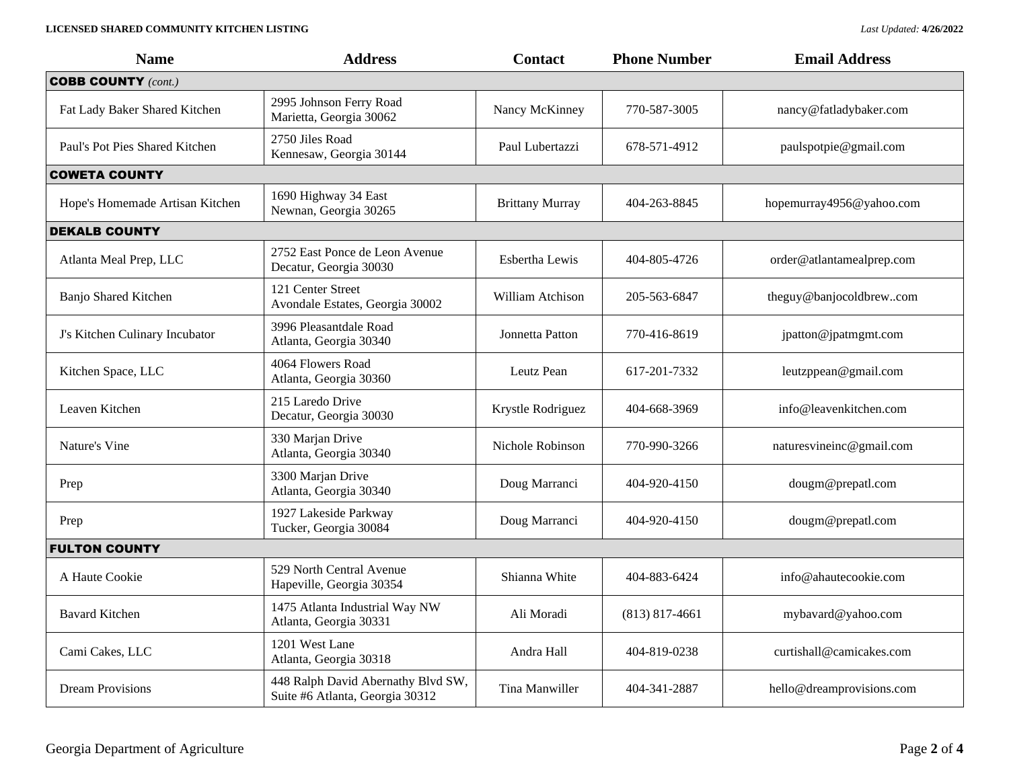### **LICENSED SHARED COMMUNITY KITCHEN LISTING** *Last Updated:* **4/26/2022**

| <b>Name</b>                     | <b>Address</b>                                                        | <b>Contact</b>         | <b>Phone Number</b> | <b>Email Address</b>      |  |
|---------------------------------|-----------------------------------------------------------------------|------------------------|---------------------|---------------------------|--|
| <b>COBB COUNTY</b> (cont.)      |                                                                       |                        |                     |                           |  |
| Fat Lady Baker Shared Kitchen   | 2995 Johnson Ferry Road<br>Marietta, Georgia 30062                    | Nancy McKinney         | 770-587-3005        | nancy@fatladybaker.com    |  |
| Paul's Pot Pies Shared Kitchen  | 2750 Jiles Road<br>Kennesaw, Georgia 30144                            | Paul Lubertazzi        | 678-571-4912        | paulspotpie@gmail.com     |  |
| <b>COWETA COUNTY</b>            |                                                                       |                        |                     |                           |  |
| Hope's Homemade Artisan Kitchen | 1690 Highway 34 East<br>Newnan, Georgia 30265                         | <b>Brittany Murray</b> | 404-263-8845        | hopemurray4956@yahoo.com  |  |
| <b>DEKALB COUNTY</b>            |                                                                       |                        |                     |                           |  |
| Atlanta Meal Prep, LLC          | 2752 East Ponce de Leon Avenue<br>Decatur, Georgia 30030              | Esbertha Lewis         | 404-805-4726        | order@atlantamealprep.com |  |
| Banjo Shared Kitchen            | 121 Center Street<br>Avondale Estates, Georgia 30002                  | William Atchison       | 205-563-6847        | theguy@banjocoldbrewcom   |  |
| J's Kitchen Culinary Incubator  | 3996 Pleasantdale Road<br>Atlanta, Georgia 30340                      | Jonnetta Patton        | 770-416-8619        | jpatton@jpatmgmt.com      |  |
| Kitchen Space, LLC              | 4064 Flowers Road<br>Atlanta, Georgia 30360                           | Leutz Pean             | 617-201-7332        | leutzppean@gmail.com      |  |
| Leaven Kitchen                  | 215 Laredo Drive<br>Decatur, Georgia 30030                            | Krystle Rodriguez      | 404-668-3969        | info@leavenkitchen.com    |  |
| Nature's Vine                   | 330 Marjan Drive<br>Atlanta, Georgia 30340                            | Nichole Robinson       | 770-990-3266        | naturesvineinc@gmail.com  |  |
| Prep                            | 3300 Marjan Drive<br>Atlanta, Georgia 30340                           | Doug Marranci          | 404-920-4150        | dougm@prepatl.com         |  |
| Prep                            | 1927 Lakeside Parkway<br>Tucker, Georgia 30084                        | Doug Marranci          | 404-920-4150        | dougm@prepatl.com         |  |
| <b>FULTON COUNTY</b>            |                                                                       |                        |                     |                           |  |
| A Haute Cookie                  | 529 North Central Avenue<br>Hapeville, Georgia 30354                  | Shianna White          | 404-883-6424        | info@ahautecookie.com     |  |
| <b>Bavard Kitchen</b>           | 1475 Atlanta Industrial Way NW<br>Atlanta, Georgia 30331              | Ali Moradi             | $(813) 817 - 4661$  | mybavard@yahoo.com        |  |
| Cami Cakes, LLC                 | 1201 West Lane<br>Atlanta, Georgia 30318                              | Andra Hall             | 404-819-0238        | curtishall@camicakes.com  |  |
| <b>Dream Provisions</b>         | 448 Ralph David Abernathy Blvd SW,<br>Suite #6 Atlanta, Georgia 30312 | Tina Manwiller         | 404-341-2887        | hello@dreamprovisions.com |  |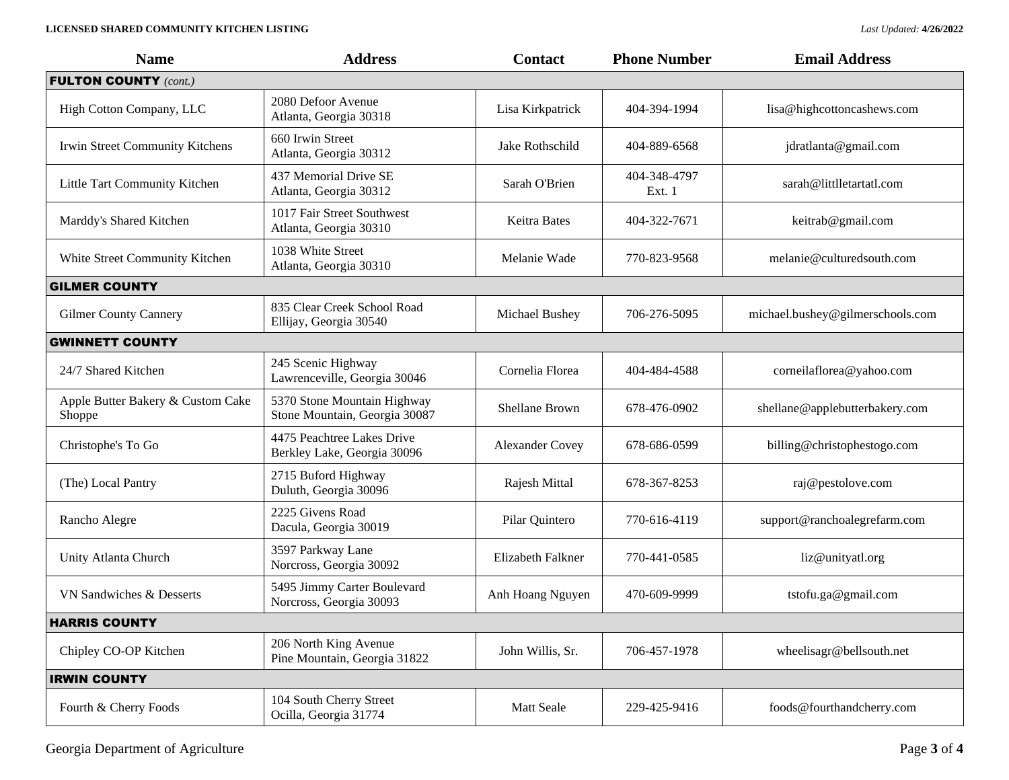### **LICENSED SHARED COMMUNITY KITCHEN LISTING** *Last Updated:* **4/26/2022**

| <b>Name</b>                                 | <b>Address</b>                                               | <b>Contact</b>         | <b>Phone Number</b>    | <b>Email Address</b>             |
|---------------------------------------------|--------------------------------------------------------------|------------------------|------------------------|----------------------------------|
| <b>FULTON COUNTY (cont.)</b>                |                                                              |                        |                        |                                  |
| High Cotton Company, LLC                    | 2080 Defoor Avenue<br>Atlanta, Georgia 30318                 | Lisa Kirkpatrick       | 404-394-1994           | lisa@highcottoncashews.com       |
| Irwin Street Community Kitchens             | 660 Irwin Street<br>Atlanta, Georgia 30312                   | Jake Rothschild        | 404-889-6568           | jdratlanta@gmail.com             |
| Little Tart Community Kitchen               | 437 Memorial Drive SE<br>Atlanta, Georgia 30312              | Sarah O'Brien          | 404-348-4797<br>Ext. 1 | sarah@littlletartatl.com         |
| Marddy's Shared Kitchen                     | 1017 Fair Street Southwest<br>Atlanta, Georgia 30310         | <b>Keitra Bates</b>    | 404-322-7671           | keitrab@gmail.com                |
| White Street Community Kitchen              | 1038 White Street<br>Atlanta, Georgia 30310                  | Melanie Wade           | 770-823-9568           | melanie@culturedsouth.com        |
| <b>GILMER COUNTY</b>                        |                                                              |                        |                        |                                  |
| <b>Gilmer County Cannery</b>                | 835 Clear Creek School Road<br>Ellijay, Georgia 30540        | Michael Bushey         | 706-276-5095           | michael.bushey@gilmerschools.com |
| <b>GWINNETT COUNTY</b>                      |                                                              |                        |                        |                                  |
| 24/7 Shared Kitchen                         | 245 Scenic Highway<br>Lawrenceville, Georgia 30046           | Cornelia Florea        | 404-484-4588           | corneilaflorea@yahoo.com         |
| Apple Butter Bakery & Custom Cake<br>Shoppe | 5370 Stone Mountain Highway<br>Stone Mountain, Georgia 30087 | Shellane Brown         | 678-476-0902           | shellane@applebutterbakery.com   |
| Christophe's To Go                          | 4475 Peachtree Lakes Drive<br>Berkley Lake, Georgia 30096    | <b>Alexander Covey</b> | 678-686-0599           | billing@christophestogo.com      |
| (The) Local Pantry                          | 2715 Buford Highway<br>Duluth, Georgia 30096                 | Rajesh Mittal          | 678-367-8253           | raj@pestolove.com                |
| Rancho Alegre                               | 2225 Givens Road<br>Dacula, Georgia 30019                    | Pilar Quintero         | 770-616-4119           | support@ranchoalegrefarm.com     |
| Unity Atlanta Church                        | 3597 Parkway Lane<br>Norcross, Georgia 30092                 | Elizabeth Falkner      | 770-441-0585           | liz@unityatl.org                 |
| VN Sandwiches & Desserts                    | 5495 Jimmy Carter Boulevard<br>Norcross, Georgia 30093       | Anh Hoang Nguyen       | 470-609-9999           | tstofu.ga@gmail.com              |
| <b>HARRIS COUNTY</b>                        |                                                              |                        |                        |                                  |
| Chipley CO-OP Kitchen                       | 206 North King Avenue<br>Pine Mountain, Georgia 31822        | John Willis, Sr.       | 706-457-1978           | wheelisagr@bellsouth.net         |
| <b>IRWIN COUNTY</b>                         |                                                              |                        |                        |                                  |
| Fourth & Cherry Foods                       | 104 South Cherry Street<br>Ocilla, Georgia 31774             | Matt Seale             | 229-425-9416           | foods@fourthandcherry.com        |